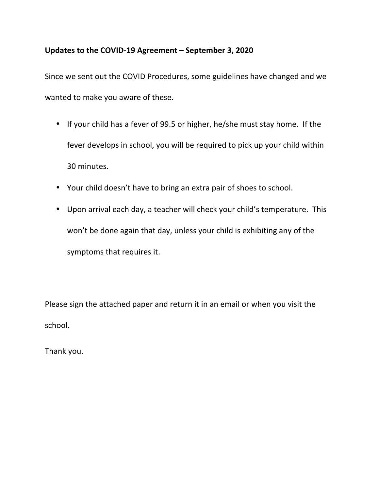## Updates to the COVID-19 Agreement – September 3, 2020

Since we sent out the COVID Procedures, some guidelines have changed and we wanted to make you aware of these.

- If your child has a fever of 99.5 or higher, he/she must stay home. If the fever develops in school, you will be required to pick up your child within 30 minutes.
- Your child doesn't have to bring an extra pair of shoes to school.
- Upon arrival each day, a teacher will check your child's temperature. This won't be done again that day, unless your child is exhibiting any of the symptoms that requires it.

Please sign the attached paper and return it in an email or when you visit the school. 

Thank you.